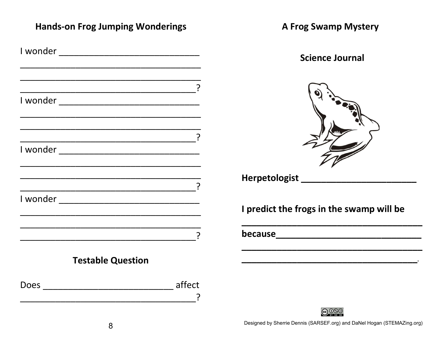**Hands-on Frog Jumping Wonderings** 

| I wonder<br><u> 1980 - Jan James James James James James James James James James James James James James James James James Ja</u> |        |
|-----------------------------------------------------------------------------------------------------------------------------------|--------|
|                                                                                                                                   |        |
|                                                                                                                                   |        |
|                                                                                                                                   | ၣ      |
| l wonder ___________________________                                                                                              |        |
|                                                                                                                                   |        |
|                                                                                                                                   |        |
|                                                                                                                                   | ှာ     |
| I wonder ______________________________                                                                                           |        |
|                                                                                                                                   |        |
|                                                                                                                                   | ၣ      |
| I wonder ____________________________                                                                                             |        |
|                                                                                                                                   |        |
|                                                                                                                                   |        |
|                                                                                                                                   |        |
|                                                                                                                                   |        |
| <b>Testable Question</b>                                                                                                          |        |
| Does                                                                                                                              | affect |
|                                                                                                                                   |        |

Herpetologist\_ I predict the frogs in the swamp will be 

**A Frog Swamp Mystery** 

**Science Journal** 



Designed by Sherrie Dennis (SARSEF.org) and DaNel Hogan (STEMAZing.org)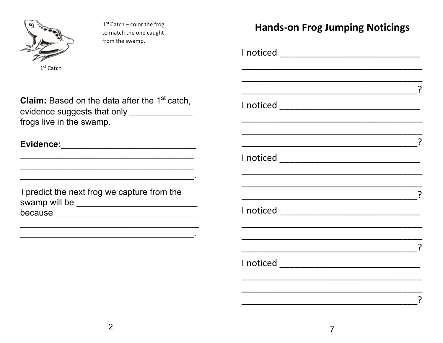

 $1<sup>st</sup>$  Catch – color the frog to match the one caught from the swamp.

 $1<sup>st</sup>$  Catch

**Hands-on Frog Jumping Noticings** 

**Claim:** Based on the data after the 1<sup>st</sup> catch, evidence suggests that only \_\_\_\_\_\_\_\_\_\_\_\_\_\_\_ frogs live in the swamp.

the contract of the contract of the contract of the contract of the contract of the contract of the

| I predict the next frog we capture from the |  |
|---------------------------------------------|--|
| swamp will be                               |  |
| because                                     |  |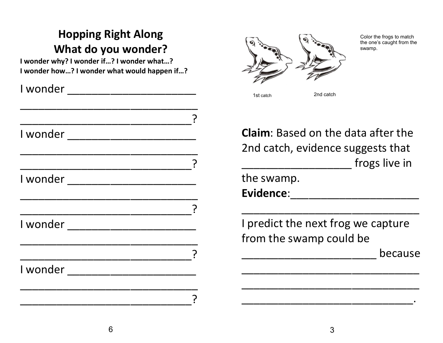## Hopping Right Along What do you wonder?

I wonder why? I wonder if…? I wonder what…? I wonder how…? I wonder what would happen if…?

| I wonder                     |  |
|------------------------------|--|
|                              |  |
|                              |  |
| l wonder ___________________ |  |
|                              |  |
|                              |  |
|                              |  |
|                              |  |
|                              |  |
|                              |  |
|                              |  |
|                              |  |
| I wonder                     |  |
|                              |  |
|                              |  |



Color the frogs to match the one's caught from the swamp.

1st catch **2nd catch** 2nd catch

Claim: Based on the data after the 2nd catch, evidence suggests that frogs live in the swamp.

Evidence:

I predict the next frog we capture from the swamp could be

\_\_\_\_\_\_\_\_\_\_\_\_\_\_\_\_\_\_\_\_\_\_\_\_\_\_\_\_\_

\_\_\_\_\_\_\_\_\_\_\_\_\_\_\_\_\_\_\_\_\_\_ because

\_\_\_\_\_\_\_\_\_\_\_\_\_\_\_\_\_\_\_\_\_\_\_\_\_\_\_\_\_

\_\_\_\_\_\_\_\_\_\_\_\_\_\_\_\_\_\_\_\_\_\_\_\_\_\_\_\_\_

\_\_\_\_\_\_\_\_\_\_\_\_\_\_\_\_\_\_\_\_\_\_\_\_\_\_\_\_.